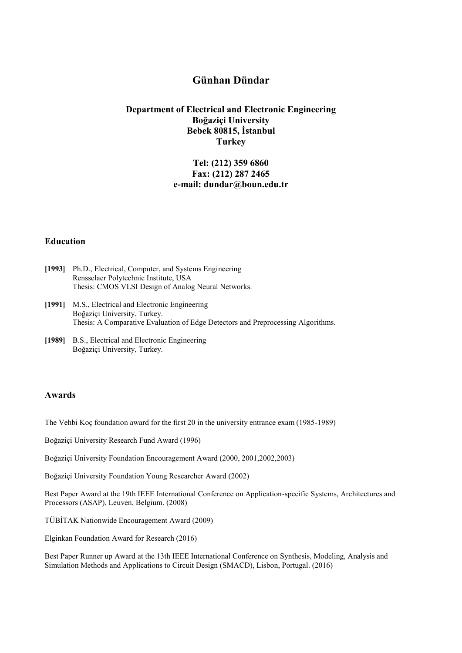# **Günhan Dündar**

### **Department of Electrical and Electronic Engineering Boğaziçi University Bebek 80815, İstanbul Turkey**

# **Tel: (212) 359 6860 Fax: (212) 287 2465 e-mail: dundar@boun.edu.tr**

#### **Education**

- **[1993]** Ph.D., Electrical, Computer, and Systems Engineering Rensselaer Polytechnic Institute, USA Thesis: CMOS VLSI Design of Analog Neural Networks.
- **[1991]** M.S., Electrical and Electronic Engineering Boğaziçi University, Turkey. Thesis: A Comparative Evaluation of Edge Detectors and Preprocessing Algorithms.
- **[1989]** B.S., Electrical and Electronic Engineering Boğaziçi University, Turkey.

#### **Awards**

The Vehbi Koç foundation award for the first 20 in the university entrance exam (1985-1989)

Boğaziçi University Research Fund Award (1996)

Boğaziçi University Foundation Encouragement Award (2000, 2001,2002,2003)

Boğaziçi University Foundation Young Researcher Award (2002)

Best Paper Award at the 19th IEEE International Conference on Application-specific Systems, Architectures and Processors (ASAP), Leuven, Belgium. (2008)

TÜBİTAK Nationwide Encouragement Award (2009)

Elginkan Foundation Award for Research (2016)

Best Paper Runner up Award at the 13th IEEE International Conference on Synthesis, Modeling, Analysis and Simulation Methods and Applications to Circuit Design (SMACD), Lisbon, Portugal. (2016)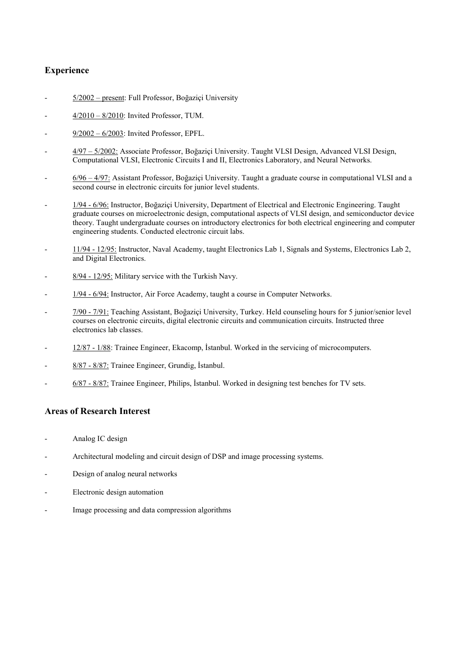# **Experience**

- 5/2002 present: Full Professor, Boğaziçi University
- 4/2010 8/2010: Invited Professor, TUM.
- $9/2002 6/2003$ : Invited Professor, EPFL.
- 4/97 5/2002: Associate Professor, Boğaziçi University. Taught VLSI Design, Advanced VLSI Design, Computational VLSI, Electronic Circuits I and II, Electronics Laboratory, and Neural Networks.
- 6/96 4/97: Assistant Professor, Boğaziçi University. Taught a graduate course in computational VLSI and a second course in electronic circuits for junior level students.
- 1/94 6/96: Instructor, Boğaziçi University, Department of Electrical and Electronic Engineering. Taught graduate courses on microelectronic design, computational aspects of VLSI design, and semiconductor device theory. Taught undergraduate courses on introductory electronics for both electrical engineering and computer engineering students. Conducted electronic circuit labs.
- 11/94 12/95: Instructor, Naval Academy, taught Electronics Lab 1, Signals and Systems, Electronics Lab 2, and Digital Electronics.
- 8/94 12/95: Military service with the Turkish Navy.
- 1/94 6/94: Instructor, Air Force Academy, taught a course in Computer Networks.
- 7/90 7/91: Teaching Assistant, Boğaziçi University, Turkey. Held counseling hours for 5 junior/senior level courses on electronic circuits, digital electronic circuits and communication circuits. Instructed three electronics lab classes.
- 12/87 1/88: Trainee Engineer, Ekacomp, İstanbul. Worked in the servicing of microcomputers.
- 8/87 8/87: Trainee Engineer, Grundig, İstanbul.
- 6/87 8/87: Trainee Engineer, Philips, İstanbul. Worked in designing test benches for TV sets.

### **Areas of Research Interest**

- Analog IC design
- Architectural modeling and circuit design of DSP and image processing systems.
- Design of analog neural networks
- Electronic design automation
- Image processing and data compression algorithms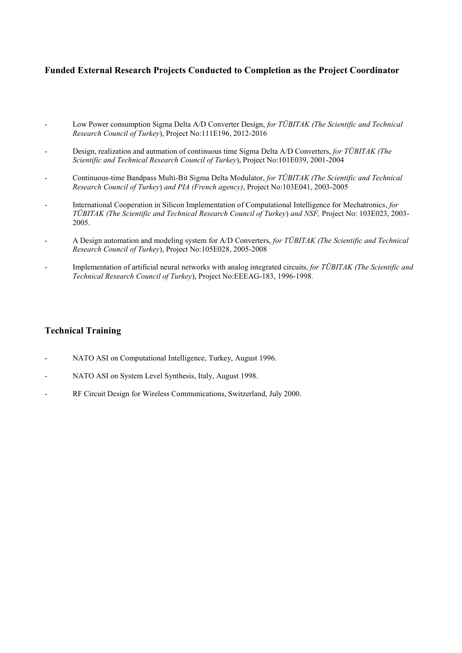# **Funded External Research Projects Conducted to Completion as the Project Coordinator**

- Low Power consumption Sigma Delta A/D Converter Design, *for TÜBITAK (The Scientific and Technical Research Council of Turkey*), Project No:111E196, 2012-2016
- Design, realization and autmation of continuous time Sigma Delta A/D Converters, *for TÜBITAK (The Scientific and Technical Research Council of Turkey*), Project No:101E039, 2001-2004
- Continuous-time Bandpass Multi-Bit Sigma Delta Modulator, *for TÜBITAK (The Scientific and Technical Research Council of Turkey*) *and PIA (French agency)*, Project No:103E041, 2003-2005
- International Cooperation in Silicon Implementation of Computational Intelligence for Mechatronics, *for TÜBITAK (The Scientific and Technical Research Council of Turkey*) *and NSF,* Project No: 103E023, 2003- 2005.
- A Design automation and modeling system for A/D Converters, *for TÜBITAK (The Scientific and Technical Research Council of Turkey*), Project No:105E028, 2005-2008
- Implementation of artificial neural networks with analog integrated circuits, *for TÜBITAK (The Scientific and Technical Research Council of Turkey*), Project No:EEEAG-183, 1996-1998.

# **Technical Training**

- NATO ASI on Computational Intelligence, Turkey, August 1996.
- NATO ASI on System Level Synthesis, Italy, August 1998.
- RF Circuit Design for Wireless Communications, Switzerland, July 2000.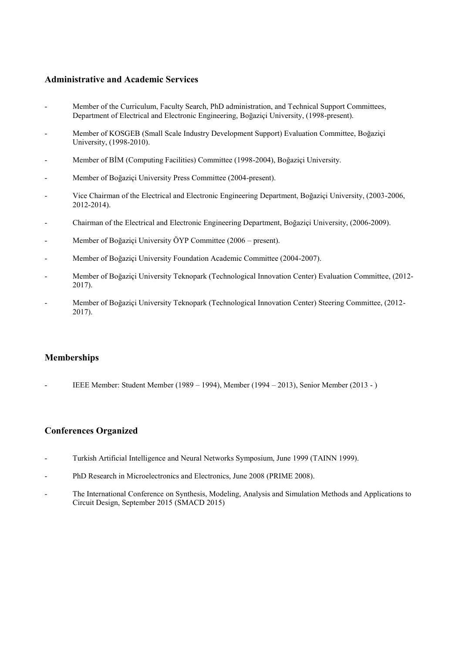### **Administrative and Academic Services**

- Member of the Curriculum, Faculty Search, PhD administration, and Technical Support Committees, Department of Electrical and Electronic Engineering, Boğaziçi University, (1998-present).
- Member of KOSGEB (Small Scale Industry Development Support) Evaluation Committee, Boğaziçi University, (1998-2010).
- Member of BİM (Computing Facilities) Committee (1998-2004), Boğaziçi University.
- Member of Boğaziçi University Press Committee (2004-present).
- Vice Chairman of the Electrical and Electronic Engineering Department, Boğaziçi University, (2003-2006, 2012-2014).
- Chairman of the Electrical and Electronic Engineering Department, Boğaziçi University, (2006-2009).
- Member of Boğaziçi University ÖYP Committee (2006 present).
- Member of Boğaziçi University Foundation Academic Committee (2004-2007).
- Member of Boğaziçi University Teknopark (Technological Innovation Center) Evaluation Committee, (2012- 2017).
- Member of Boğaziçi University Teknopark (Technological Innovation Center) Steering Committee, (2012- 2017).

#### **Memberships**

- IEEE Member: Student Member (1989 – 1994), Member (1994 – 2013), Senior Member (2013 - )

#### **Conferences Organized**

- Turkish Artificial Intelligence and Neural Networks Symposium, June 1999 (TAINN 1999).
- PhD Research in Microelectronics and Electronics, June 2008 (PRIME 2008).
- The International Conference on Synthesis, Modeling, Analysis and Simulation Methods and Applications to Circuit Design, September 2015 (SMACD 2015)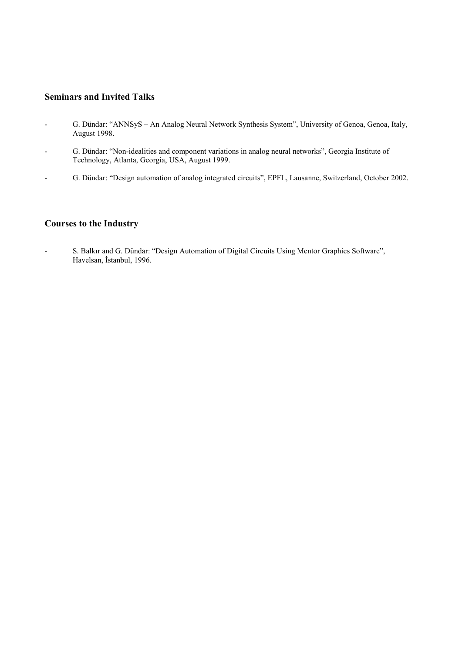# **Seminars and Invited Talks**

- G. Dündar: "ANNSyS An Analog Neural Network Synthesis System", University of Genoa, Genoa, Italy, August 1998.
- G. Dündar: "Non-idealities and component variations in analog neural networks", Georgia Institute of Technology, Atlanta, Georgia, USA, August 1999.
- G. Dündar: "Design automation of analog integrated circuits", EPFL, Lausanne, Switzerland, October 2002.

### **Courses to the Industry**

- S. Balkır and G. Dündar: "Design Automation of Digital Circuits Using Mentor Graphics Software", Havelsan, İstanbul, 1996.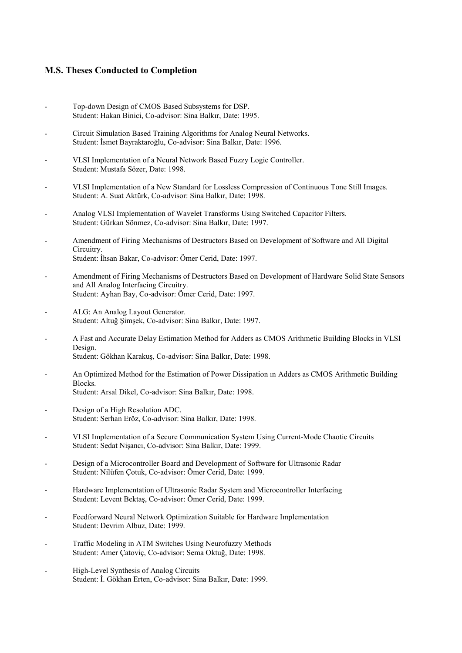### **M.S. Theses Conducted to Completion**

- Top-down Design of CMOS Based Subsystems for DSP. Student: Hakan Binici, Co-advisor: Sina Balkır, Date: 1995.
- Circuit Simulation Based Training Algorithms for Analog Neural Networks. Student: İsmet Bayraktaroğlu, Co-advisor: Sina Balkır, Date: 1996.
- VLSI Implementation of a Neural Network Based Fuzzy Logic Controller. Student: Mustafa Sözer, Date: 1998.
- VLSI Implementation of a New Standard for Lossless Compression of Continuous Tone Still Images. Student: A. Suat Aktürk, Co-advisor: Sina Balkır, Date: 1998.
- Analog VLSI Implementation of Wavelet Transforms Using Switched Capacitor Filters. Student: Gürkan Sönmez, Co-advisor: Sina Balkır, Date: 1997.
- Amendment of Firing Mechanisms of Destructors Based on Development of Software and All Digital Circuitry. Student: İhsan Bakar, Co-advisor: Ömer Cerid, Date: 1997.
- Amendment of Firing Mechanisms of Destructors Based on Development of Hardware Solid State Sensors and All Analog Interfacing Circuitry. Student: Ayhan Bay, Co-advisor: Ömer Cerid, Date: 1997.
- ALG: An Analog Layout Generator. Student: Altuğ Şimşek, Co-advisor: Sina Balkır, Date: 1997.
- A Fast and Accurate Delay Estimation Method for Adders as CMOS Arithmetic Building Blocks in VLSI Design. Student: Gökhan Karakuş, Co-advisor: Sina Balkır, Date: 1998.
- An Optimized Method for the Estimation of Power Dissipation ın Adders as CMOS Arithmetic Building Blocks. Student: Arsal Dikel, Co-advisor: Sina Balkır, Date: 1998.
- Design of a High Resolution ADC. Student: Serhan Eröz, Co-advisor: Sina Balkır, Date: 1998.
- VLSI Implementation of a Secure Communication System Using Current-Mode Chaotic Circuits Student: Sedat Nişancı, Co-advisor: Sina Balkır, Date: 1999.
- Design of a Microcontroller Board and Development of Software for Ultrasonic Radar Student: Nilüfen Çotuk, Co-advisor: Ömer Cerid, Date: 1999.
- Hardware Implementation of Ultrasonic Radar System and Microcontroller Interfacing Student: Levent Bektaş, Co-advisor: Ömer Cerid, Date: 1999.
- Feedforward Neural Network Optimization Suitable for Hardware Implementation Student: Devrim Albuz, Date: 1999.
- Traffic Modeling in ATM Switches Using Neurofuzzy Methods Student: Amer Çatoviç, Co-advisor: Sema Oktuğ, Date: 1998.
- High-Level Synthesis of Analog Circuits Student: İ. Gökhan Erten, Co-advisor: Sina Balkır, Date: 1999.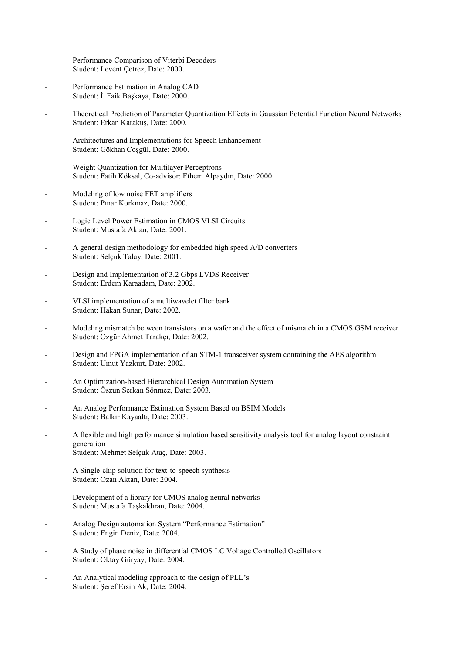- Performance Comparison of Viterbi Decoders Student: Levent Çetrez, Date: 2000.
- Performance Estimation in Analog CAD Student: İ. Faik Başkaya, Date: 2000.
- Theoretical Prediction of Parameter Quantization Effects in Gaussian Potential Function Neural Networks Student: Erkan Karakuş, Date: 2000.
- Architectures and Implementations for Speech Enhancement Student: Gökhan Coşgül, Date: 2000.
- Weight Quantization for Multilayer Perceptrons Student: Fatih Köksal, Co-advisor: Ethem Alpaydın, Date: 2000.
- Modeling of low noise FET amplifiers Student: Pınar Korkmaz, Date: 2000.
- Logic Level Power Estimation in CMOS VLSI Circuits Student: Mustafa Aktan, Date: 2001.
- A general design methodology for embedded high speed A/D converters Student: Selçuk Talay, Date: 2001.
- Design and Implementation of 3.2 Gbps LVDS Receiver Student: Erdem Karaadam, Date: 2002.
- VLSI implementation of a multiwavelet filter bank Student: Hakan Sunar, Date: 2002.
- Modeling mismatch between transistors on a wafer and the effect of mismatch in a CMOS GSM receiver Student: Özgür Ahmet Tarakçı, Date: 2002.
- Design and FPGA implementation of an STM-1 transceiver system containing the AES algorithm Student: Umut Yazkurt, Date: 2002.
- An Optimization-based Hierarchical Design Automation System Student: Öszun Serkan Sönmez, Date: 2003.
- An Analog Performance Estimation System Based on BSIM Models Student: Balkır Kayaaltı, Date: 2003.
- A flexible and high performance simulation based sensitivity analysis tool for analog layout constraint generation Student: Mehmet Selçuk Ataç, Date: 2003.
- A Single-chip solution for text-to-speech synthesis Student: Ozan Aktan, Date: 2004.
- Development of a library for CMOS analog neural networks Student: Mustafa Taşkaldıran, Date: 2004.
- Analog Design automation System "Performance Estimation" Student: Engin Deniz, Date: 2004.
- A Study of phase noise in differential CMOS LC Voltage Controlled Oscillators Student: Oktay Güryay, Date: 2004.
- An Analytical modeling approach to the design of PLL's Student: Şeref Ersin Ak, Date: 2004.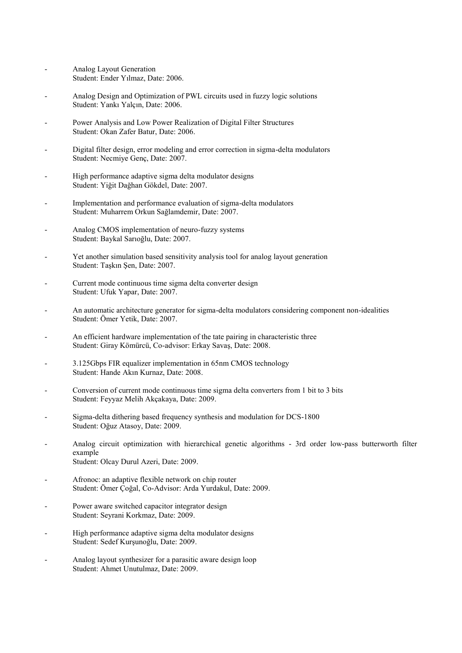- Analog Layout Generation Student: Ender Yılmaz, Date: 2006.
- Analog Design and Optimization of PWL circuits used in fuzzy logic solutions Student: Yankı Yalçın, Date: 2006.
- Power Analysis and Low Power Realization of Digital Filter Structures Student: Okan Zafer Batur, Date: 2006.
- Digital filter design, error modeling and error correction in sigma-delta modulators Student: Necmiye Genç, Date: 2007.
- High performance adaptive sigma delta modulator designs Student: Yiğit Dağhan Gökdel, Date: 2007.
- Implementation and performance evaluation of sigma-delta modulators Student: Muharrem Orkun Sağlamdemir, Date: 2007.
- Analog CMOS implementation of neuro-fuzzy systems Student: Baykal Sarıoğlu, Date: 2007.
- Yet another simulation based sensitivity analysis tool for analog layout generation Student: Taşkın Şen, Date: 2007.
- Current mode continuous time sigma delta converter design Student: Ufuk Yapar, Date: 2007.
- An automatic architecture generator for sigma-delta modulators considering component non-idealities Student: Ömer Yetik, Date: 2007.
- An efficient hardware implementation of the tate pairing in characteristic three Student: Giray Kömürcü, Co-advisor: Erkay Savaş, Date: 2008.
- 3.125Gbps FIR equalizer implementation in 65nm CMOS technology Student: Hande Akın Kurnaz, Date: 2008.
- Conversion of current mode continuous time sigma delta converters from 1 bit to 3 bits Student: Feyyaz Melih Akçakaya, Date: 2009.
- Sigma-delta dithering based frequency synthesis and modulation for DCS-1800 Student: Oğuz Atasoy, Date: 2009.
- Analog circuit optimization with hierarchical genetic algorithms 3rd order low-pass butterworth filter example Student: Olcay Durul Azeri, Date: 2009.
- Afronoc: an adaptive flexible network on chip router Student: Ömer Çoğal, Co-Advisor: Arda Yurdakul, Date: 2009.
- Power aware switched capacitor integrator design Student: Seyrani Korkmaz, Date: 2009.
- High performance adaptive sigma delta modulator designs Student: Sedef Kurşunoğlu, Date: 2009.
- Analog layout synthesizer for a parasitic aware design loop Student: Ahmet Unutulmaz, Date: 2009.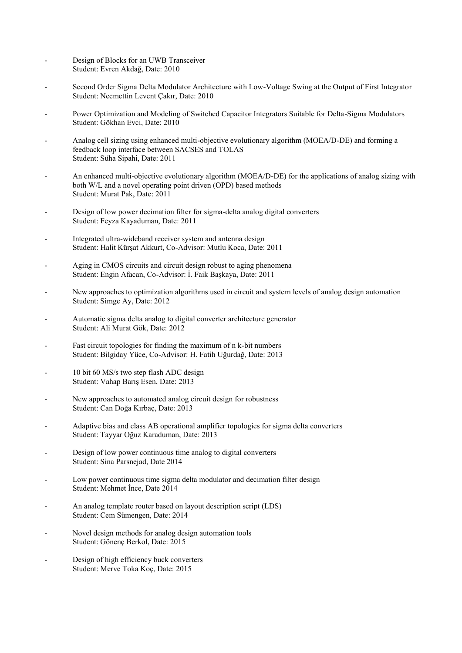- Design of Blocks for an UWB Transceiver Student: Evren Akdağ, Date: 2010
- Second Order Sigma Delta Modulator Architecture with Low-Voltage Swing at the Output of First Integrator Student: Necmettin Levent Çakır, Date: 2010
- Power Optimization and Modeling of Switched Capacitor Integrators Suitable for Delta-Sigma Modulators Student: Gökhan Evci, Date: 2010
- Analog cell sizing using enhanced multi-objective evolutionary algorithm (MOEA/D-DE) and forming a feedback loop interface between SACSES and TOLAS Student: Süha Sipahi, Date: 2011
- An enhanced multi-objective evolutionary algorithm (MOEA/D-DE) for the applications of analog sizing with both W/L and a novel operating point driven (OPD) based methods Student: Murat Pak, Date: 2011
- Design of low power decimation filter for sigma-delta analog digital converters Student: Feyza Kayaduman, Date: 2011
- Integrated ultra-wideband receiver system and antenna design Student: Halit Kürşat Akkurt, Co-Advisor: Mutlu Koca, Date: 2011
- Aging in CMOS circuits and circuit design robust to aging phenomena Student: Engin Afacan, Co-Advisor: İ. Faik Başkaya, Date: 2011
- New approaches to optimization algorithms used in circuit and system levels of analog design automation Student: Simge Ay, Date: 2012
- Automatic sigma delta analog to digital converter architecture generator Student: Ali Murat Gök, Date: 2012
- Fast circuit topologies for finding the maximum of n k-bit numbers Student: Bilgiday Yüce, Co-Advisor: H. Fatih Uğurdağ, Date: 2013
- 10 bit 60 MS/s two step flash ADC design Student: Vahap Barış Esen, Date: 2013
- New approaches to automated analog circuit design for robustness Student: Can Doğa Kırbaç, Date: 2013
- Adaptive bias and class AB operational amplifier topologies for sigma delta converters Student: Tayyar Oğuz Karaduman, Date: 2013
- Design of low power continuous time analog to digital converters Student: Sina Parsnejad, Date 2014
- Low power continuous time sigma delta modulator and decimation filter design Student: Mehmet İnce, Date 2014
- An analog template router based on layout description script (LDS) Student: Cem Sümengen, Date: 2014
- Novel design methods for analog design automation tools Student: Gönenç Berkol, Date: 2015
- Design of high efficiency buck converters Student: Merve Toka Koç, Date: 2015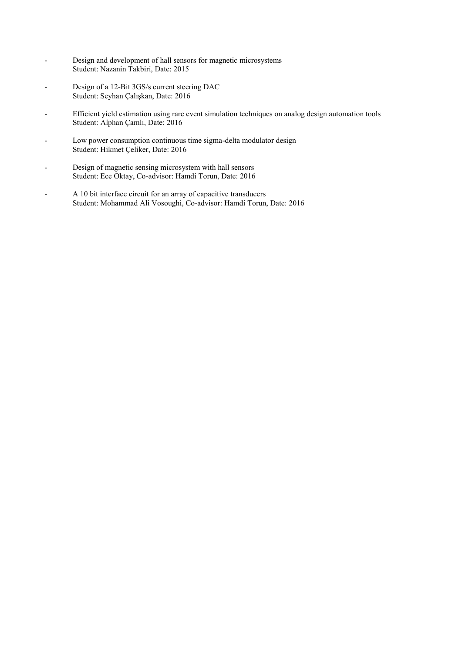- Design and development of hall sensors for magnetic microsystems Student: Nazanin Takbiri, Date: 2015
- Design of a 12-Bit 3GS/s current steering DAC Student: Seyhan Çalışkan, Date: 2016
- Efficient yield estimation using rare event simulation techniques on analog design automation tools Student: Alphan Çamlı, Date: 2016
- Low power consumption continuous time sigma-delta modulator design Student: Hikmet Çeliker, Date: 2016
- Design of magnetic sensing microsystem with hall sensors Student: Ece Oktay, Co-advisor: Hamdi Torun, Date: 2016
- A 10 bit interface circuit for an array of capacitive transducers Student: Mohammad Ali Vosoughi, Co-advisor: Hamdi Torun, Date: 2016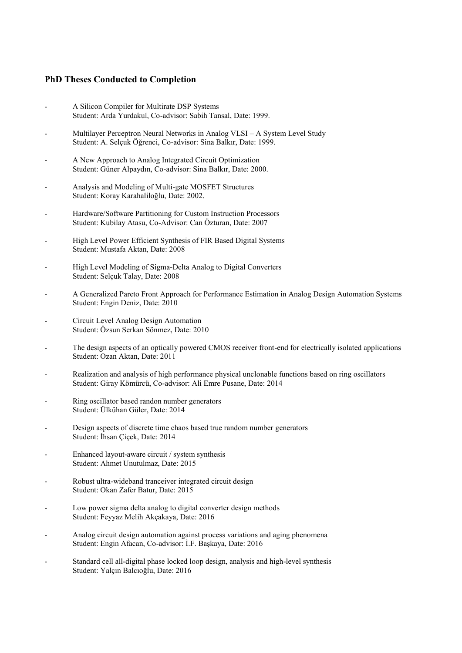### **PhD Theses Conducted to Completion**

- A Silicon Compiler for Multirate DSP Systems Student: Arda Yurdakul, Co-advisor: Sabih Tansal, Date: 1999.
- Multilayer Perceptron Neural Networks in Analog VLSI A System Level Study Student: A. Selçuk Öğrenci, Co-advisor: Sina Balkır, Date: 1999.
- A New Approach to Analog Integrated Circuit Optimization Student: Güner Alpaydın, Co-advisor: Sina Balkır, Date: 2000.
- Analysis and Modeling of Multi-gate MOSFET Structures Student: Koray Karahaliloğlu, Date: 2002.
- Hardware/Software Partitioning for Custom Instruction Processors Student: Kubilay Atasu, Co-Advisor: Can Özturan, Date: 2007
- High Level Power Efficient Synthesis of FIR Based Digital Systems Student: Mustafa Aktan, Date: 2008
- High Level Modeling of Sigma-Delta Analog to Digital Converters Student: Selçuk Talay, Date: 2008
- A Generalized Pareto Front Approach for Performance Estimation in Analog Design Automation Systems Student: Engin Deniz, Date: 2010
- Circuit Level Analog Design Automation Student: Özsun Serkan Sönmez, Date: 2010
- The design aspects of an optically powered CMOS receiver front-end for electrically isolated applications Student: Ozan Aktan, Date: 2011
- Realization and analysis of high performance physical unclonable functions based on ring oscillators Student: Giray Kömürcü, Co-advisor: Ali Emre Pusane, Date: 2014
- Ring oscillator based randon number generators Student: Ülkühan Güler, Date: 2014
- Design aspects of discrete time chaos based true random number generators Student: İhsan Çiçek, Date: 2014
- Enhanced layout-aware circuit / system synthesis Student: Ahmet Unutulmaz, Date: 2015
- Robust ultra-wideband tranceiver integrated circuit design Student: Okan Zafer Batur, Date: 2015
- Low power sigma delta analog to digital converter design methods Student: Feyyaz Melih Akçakaya, Date: 2016
- Analog circuit design automation against process variations and aging phenomena Student: Engin Afacan, Co-advisor: İ.F. Başkaya, Date: 2016
- Standard cell all-digital phase locked loop design, analysis and high-level synthesis Student: Yalçın Balcıoğlu, Date: 2016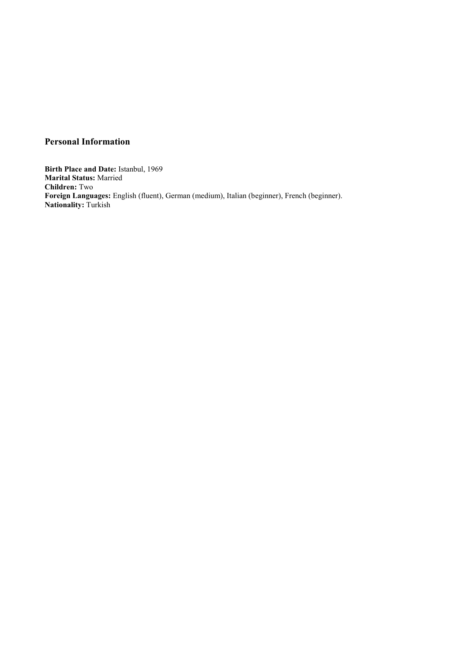# **Personal Information**

**Birth Place and Date:** Istanbul, 1969 **Marital Status:** Married **Children:** Two **Foreign Languages:** English (fluent), German (medium), Italian (beginner), French (beginner). **Nationality:** Turkish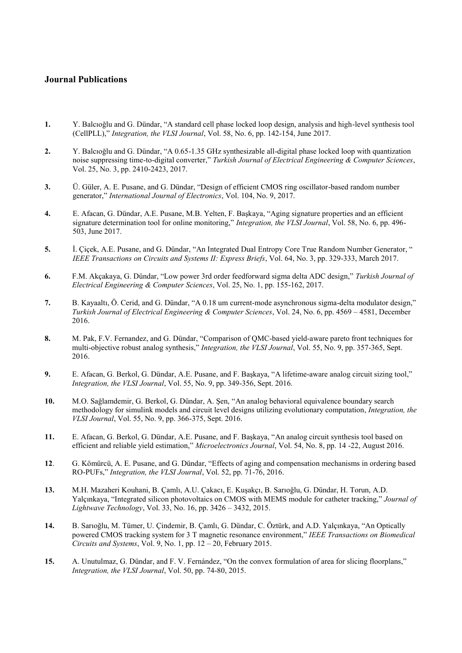### **Journal Publications**

- **1.** Y. Balcıoğlu and G. Dündar, "A standard cell phase locked loop design, analysis and high-level synthesis tool (CellPLL)," *Integration, the VLSI Journal*, Vol. 58, No. 6, pp. 142-154, June 2017.
- **2.** Y. Balcıoğlu and G. Dündar, "A 0.65-1.35 GHz synthesizable all-digital phase locked loop with quantization noise suppressing time-to-digital converter," *Turkish Journal of Electrical Engineering & Computer Sciences*, Vol. 25, No. 3, pp. 2410-2423, 2017.
- **3.** Ü. Güler, A. E. Pusane, and G. Dündar, "Design of efficient CMOS ring oscillator-based random number generator," *International Journal of Electronics*, Vol. 104, No. 9, 2017.
- **4.** E. Afacan, G. Dündar, A.E. Pusane, M.B. Yelten, F. Başkaya, "Aging signature properties and an efficient signature determination tool for online monitoring," *Integration, the VLSI Journal*, Vol. 58, No. 6, pp. 496- 503, June 2017.
- **5.** İ. Çiçek, A.E. Pusane, and G. Dündar, "An Integrated Dual Entropy Core True Random Number Generator, " *IEEE Transactions on Circuits and Systems II: Express Briefs*, Vol. 64, No. 3, pp. 329-333, March 2017.
- **6.** F.M. Akçakaya, G. Dündar, "Low power 3rd order feedforward sigma delta ADC design," *Turkish Journal of Electrical Engineering & Computer Sciences*, Vol. 25, No. 1, pp. 155-162, 2017.
- **7.** B. Kayaaltı, Ö. Cerid, and G. Dündar, "A 0.18 um current-mode asynchronous sigma-delta modulator design," *Turkish Journal of Electrical Engineering & Computer Sciences*, Vol. 24, No. 6, pp. 4569 – 4581, December 2016.
- **8.** M. Pak, F.V. Fernandez, and G. Dündar, "Comparison of QMC-based yield-aware pareto front techniques for multi-objective robust analog synthesis," *Integration, the VLSI Journal*, Vol. 55, No. 9, pp. 357-365, Sept. 2016.
- **9.** E. Afacan, G. Berkol, G. Dündar, A.E. Pusane, and F. Başkaya, "A lifetime-aware analog circuit sizing tool," *Integration, the VLSI Journal*, Vol. 55, No. 9, pp. 349-356, Sept. 2016.
- **10.** M.O. Sağlamdemir, G. Berkol, G. Dündar, A. Şen, "An analog behavioral equivalence boundary search methodology for simulink models and circuit level designs utilizing evolutionary computation, *Integration, the VLSI Journal*, Vol. 55, No. 9, pp. 366-375, Sept. 2016.
- **11.** E. Afacan, G. Berkol, G. Dündar, A.E. Pusane, and F. Başkaya, "An analog circuit synthesis tool based on efficient and reliable yield estimation," *Microelectronics Journal*, Vol. 54, No. 8, pp. 14 -22, August 2016.
- **12**. G. Kömürcü, A. E. Pusane, and G. Dündar, "Effects of aging and compensation mechanisms in ordering based RO-PUFs," *Integration, the VLSI Journal*, Vol. 52, pp. 71-76, 2016.
- **13.** M.H. Mazaheri Kouhani, B. Çamlı, A.U. Çakacı, E. Kuşakçı, B. Sarıoğlu, G. Dündar, H. Torun, A.D. Yalçınkaya, "Integrated silicon photovoltaics on CMOS with MEMS module for catheter tracking," *Journal of Lightwave Technology*, Vol. 33, No. 16, pp. 3426 – 3432, 2015.
- **14.** B. Sarıoğlu, M. Tümer, U. Çindemir, B. Çamlı, G. Dündar, C. Öztürk, and A.D. Yalçınkaya, "An Optically powered CMOS tracking system for 3 T magnetic resonance environment," *IEEE Transactions on Biomedical Circuits and Systems*, Vol. 9, No. 1, pp. 12 – 20, February 2015.
- **15.** A. Unutulmaz, G. Dündar, and F. V. Fernández, "On the convex formulation of area for slicing floorplans," *Integration, the VLSI Journal*, Vol. 50, pp. 74-80, 2015.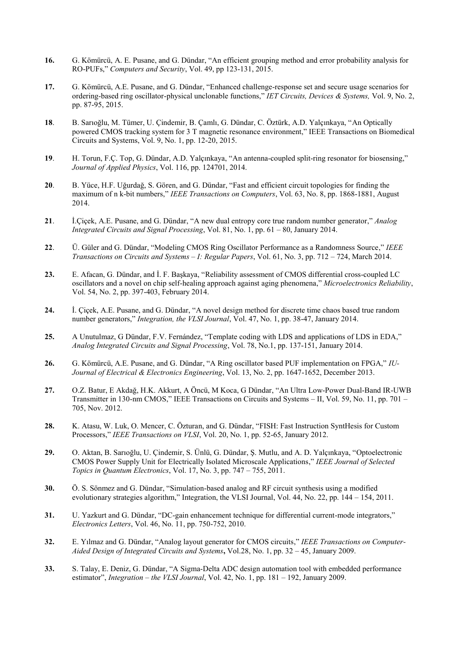- **16.** G. Kömürcü, A. E. Pusane, and G. Dündar, "An efficient grouping method and error probability analysis for RO-PUFs," *Computers and Security*, Vol. 49, pp 123-131, 2015.
- **17.** G. Kömürcü, A.E. Pusane, and G. Dündar, "Enhanced challenge-response set and secure usage scenarios for ordering-based ring oscillator-physical unclonable functions," *IET Circuits, Devices & Systems,* Vol. 9, No. 2, pp. 87-95, 2015.
- **18**. B. Sarıoğlu, M. Tümer, U. Çindemir, B. Çamlı, G. Dündar, C. Öztürk, A.D. Yalçınkaya, "An Optically powered CMOS tracking system for 3 T magnetic resonance environment," IEEE Transactions on Biomedical Circuits and Systems, Vol. 9, No. 1, pp. 12-20, 2015.
- **19**. H. Torun, F.Ç. Top, G. Dündar, A.D. Yalçınkaya, "An antenna-coupled split-ring resonator for biosensing," *Journal of Applied Physics*, Vol. 116, pp. 124701, 2014.
- **20**. B. Yüce, H.F. Uğurdağ, S. Gören, and G. Dündar, "Fast and efficient circuit topologies for finding the maximum of n k-bit numbers," *IEEE Transactions on Computers*, Vol. 63, No. 8, pp. 1868-1881, August 2014.
- **21**. İ.Çiçek, A.E. Pusane, and G. Dündar, "A new dual entropy core true random number generator," *Analog Integrated Circuits and Signal Processing*, Vol. 81, No. 1, pp. 61 – 80, January 2014.
- **22**. Ü. Güler and G. Dündar, "Modeling CMOS Ring Oscillator Performance as a Randomness Source," *IEEE Transactions on Circuits and Systems – I: Regular Papers*, Vol. 61, No. 3, pp. 712 – 724, March 2014.
- **23.** E. Afacan, G. Dündar, and İ. F. Başkaya, "Reliability assessment of CMOS differential cross-coupled LC oscillators and a novel on chip self-healing approach against aging phenomena," *Microelectronics Reliability*, Vol. 54, No. 2, pp. 397-403, February 2014.
- **24.** İ. Çiçek, A.E. Pusane, and G. Dündar, "A novel design method for discrete time chaos based true random number generators," *Integration, the VLSI Journal*, Vol. 47, No. 1, pp. 38-47, January 2014.
- **25.** A Unutulmaz, G Dündar, F.V. Fernández, "Template coding with LDS and applications of LDS in EDA," *Analog Integrated Circuits and Signal Processing*, Vol. 78, No.1, pp. 137-151, January 2014.
- **26.** G. Kömürcü, A.E. Pusane, and G. Dündar, "A Ring oscillator based PUF implementation on FPGA," *IU-Journal of Electrical & Electronics Engineering*, Vol. 13, No. 2, pp. 1647-1652, December 2013.
- **27.** O.Z. Batur, E Akdağ, H.K. Akkurt, A Öncü, M Koca, G Dündar, "An Ultra Low-Power Dual-Band IR-UWB Transmitter in 130-nm CMOS," IEEE Transactions on Circuits and Systems – II, Vol. 59, No. 11, pp. 701 – 705, Nov. 2012.
- **28.** K. Atasu, W. Luk, O. Mencer, C. Özturan, and G. Dündar, "FISH: Fast Instruction SyntHesis for Custom Processors," *IEEE Transactions on VLSI*, Vol. 20, No. 1, pp. 52-65, January 2012.
- **29.** O. Aktan, B. Sarıoğlu, U. Çindemir, S. Ünlü, G. Dündar, Ş. Mutlu, and A. D. Yalçınkaya, "Optoelectronic CMOS Power Supply Unit for Electrically Isolated Microscale Applications," *IEEE Journal of Selected Topics in Quantum Electronics*, Vol. 17, No. 3, pp. 747 – 755, 2011.
- **30.** Ö. S. Sönmez and G. Dündar, "Simulation-based analog and RF circuit synthesis using a modified evolutionary strategies algorithm," Integration, the VLSI Journal, Vol. 44, No. 22, pp. 144 – 154, 2011.
- **31.** U. Yazkurt and G. Dündar, "DC-gain enhancement technique for differential current-mode integrators," *Electronics Letters*, Vol. 46, No. 11, pp. 750-752, 2010.
- **32.** E. Yılmaz and G. Dündar, "Analog layout generator for CMOS circuits," *IEEE Transactions on Computer-Aided Design of Integrated Circuits and Systems***,** Vol.28, No. 1, pp. 32 – 45, January 2009.
- **33.** S. Talay, E. Deniz, G. Dündar, "A Sigma-Delta ADC design automation tool with embedded performance estimator", *Integration – the VLSI Journal*, Vol. 42, No. 1, pp. 181 – 192, January 2009.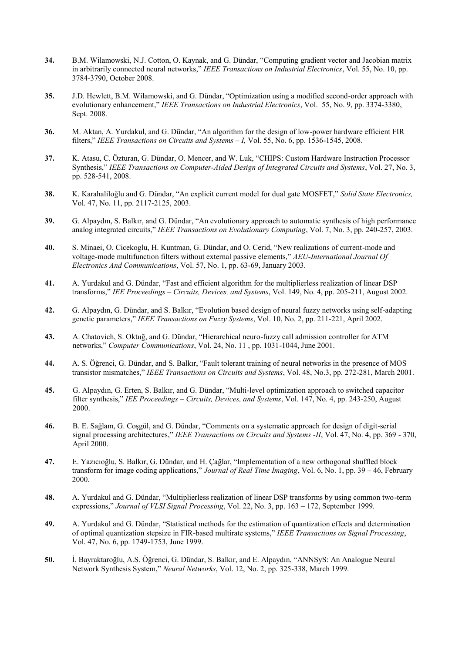- **34.** B.M. Wilamowski, N.J. Cotton, O. Kaynak, and G. Dündar, "Computing gradient vector and Jacobian matrix in arbitrarily connected neural networks," *IEEE Transactions on Industrial Electronics*, Vol. 55, No. 10, pp. 3784-3790, October 2008.
- **35.** J.D. Hewlett, B.M. Wilamowski, and G. Dündar, "Optimization using a modified second-order approach with evolutionary enhancement," *IEEE Transactions on Industrial Electronics*, Vol. 55, No. 9, pp. 3374-3380, Sept. 2008.
- **36.** M. Aktan, A. Yurdakul, and G. Dündar, "An algorithm for the design of low-power hardware efficient FIR filters," *IEEE Transactions on Circuits and Systems – I,* Vol. 55, No. 6, pp. 1536-1545, 2008.
- **37.** K. Atasu, C. Özturan, G. Dündar, O. Mencer, and W. Luk, "CHIPS: Custom Hardware Instruction Processor Synthesis," *IEEE Transactions on Computer-Aided Design of Integrated Circuits and Systems*, Vol. 27, No. 3, pp. 528-541, 2008.
- **38.** K. Karahaliloğlu and G. Dündar, "An explicit current model for dual gate MOSFET," *Solid State Electronics,*  Vol. 47, No. 11, pp. 2117-2125, 2003.
- **39.** G. Alpaydın, S. Balkır, and G. Dündar, "An evolutionary approach to automatic synthesis of high performance analog integrated circuits," *IEEE Transactions on Evolutionary Computing*, Vol. 7, No. 3, pp. 240-257, 2003.
- **40.** S. Minaei, O. Cicekoglu, H. Kuntman, G. Dündar, and O. Cerid, "New realizations of current-mode and voltage-mode multifunction filters without external passive elements," *AEU-International Journal Of Electronics And Communications*, Vol. 57, No. 1, pp. 63-69, January 2003.
- **41.** A. Yurdakul and G. Dündar, "Fast and efficient algorithm for the multiplierless realization of linear DSP transforms," *IEE Proceedings – Circuits, Devices, and Systems*, Vol. 149, No. 4, pp. 205-211, August 2002.
- **42.** G. Alpaydın, G. Dündar, and S. Balkır, "Evolution based design of neural fuzzy networks using self-adapting genetic parameters," *IEEE Transactions on Fuzzy Systems*, Vol. 10, No. 2, pp. 211-221, April 2002.
- **43.** A. Chatovich, S. Oktuğ, and G. Dündar, "Hierarchical neuro-fuzzy call admission controller for ATM networks," *Computer Communications*, Vol. 24, No. 11 , pp. 1031-1044, June 2001.
- **44.** A. S. Öğrenci, G. Dündar, and S. Balkır, "Fault tolerant training of neural networks in the presence of MOS transistor mismatches," *IEEE Transactions on Circuits and Systems*, Vol. 48, No.3, pp. 272-281, March 2001.
- **45.** G. Alpaydın, G. Erten, S. Balkır, and G. Dündar, "Multi-level optimization approach to switched capacitor filter synthesis," *IEE Proceedings – Circuits, Devices, and Systems*, Vol. 147, No. 4, pp. 243-250, August 2000.
- **46.** B. E. Sağlam, G. Coşgül, and G. Dündar, "Comments on a systematic approach for design of digit-serial signal processing architectures," *IEEE Transactions on Circuits and Systems -II*, Vol. 47, No. 4, pp. 369 - 370, April 2000.
- **47.** E. Yazıcıoğlu, S. Balkır, G. Dündar, and H. Çağlar, "Implementation of a new orthogonal shuffled block transform for image coding applications," *Journal of Real Time Imaging*, Vol. 6, No. 1, pp. 39 – 46, February 2000.
- **48.** A. Yurdakul and G. Dündar, "Multiplierless realization of linear DSP transforms by using common two-term expressions," *Journal of VLSI Signal Processing*, Vol. 22, No. 3, pp. 163 – 172, September 1999*.*
- **49.** A. Yurdakul and G. Dündar, "Statistical methods for the estimation of quantization effects and determination of optimal quantization stepsize in FIR-based multirate systems," *IEEE Transactions on Signal Processing*, Vol. 47, No. 6, pp. 1749-1753, June 1999.
- **50.** İ. Bayraktaroğlu, A.S. Öğrenci, G. Dündar, S. Balkır, and E. Alpaydın, "ANNSyS: An Analogue Neural Network Synthesis System," *Neural Networks*, Vol. 12, No. 2, pp. 325-338, March 1999.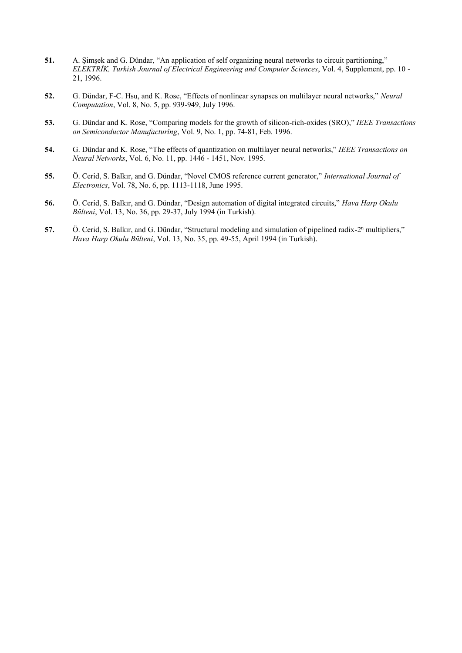- **51.** A. Şimşek and G. Dündar, "An application of self organizing neural networks to circuit partitioning," *ELEKTRİK, Turkish Journal of Electrical Engineering and Computer Sciences*, Vol. 4, Supplement, pp. 10 - 21, 1996.
- **52.** G. Dündar, F-C. Hsu, and K. Rose, "Effects of nonlinear synapses on multilayer neural networks," *Neural Computation*, Vol. 8, No. 5, pp. 939-949, July 1996.
- **53.** G. Dündar and K. Rose, "Comparing models for the growth of silicon-rich-oxides (SRO)," *IEEE Transactions on Semiconductor Manufacturing*, Vol. 9, No. 1, pp. 74-81, Feb. 1996.
- **54.** G. Dündar and K. Rose, "The effects of quantization on multilayer neural networks," *IEEE Transactions on Neural Networks*, Vol. 6, No. 11, pp. 1446 - 1451, Nov. 1995.
- **55.** Ö. Cerid, S. Balkır, and G. Dündar, "Novel CMOS reference current generator," *International Journal of Electronics*, Vol. 78, No. 6, pp. 1113-1118, June 1995.
- **56.** Ö. Cerid, S. Balkır, and G. Dündar, "Design automation of digital integrated circuits," *Hava Harp Okulu Bülteni*, Vol. 13, No. 36, pp. 29-37, July 1994 (in Turkish).
- **57.** Ö. Cerid, S. Balkır, and G. Dündar, "Structural modeling and simulation of pipelined radix-2<sup>n</sup> multipliers," *Hava Harp Okulu Bülteni*, Vol. 13, No. 35, pp. 49-55, April 1994 (in Turkish).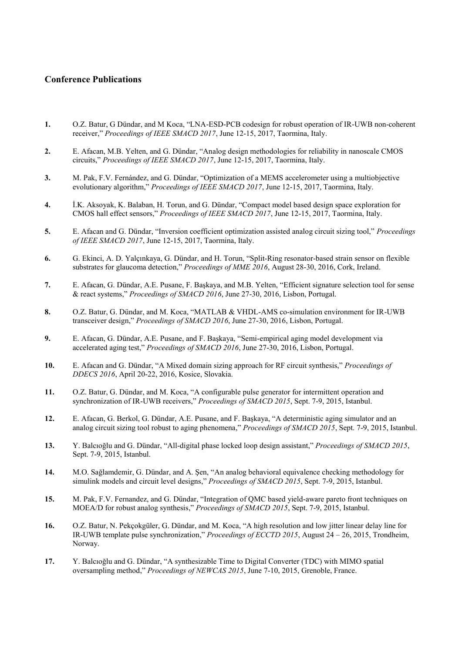### **Conference Publications**

- **1.** O.Z. Batur, G Dündar, and M Koca, "LNA-ESD-PCB codesign for robust operation of IR-UWB non-coherent receiver," *Proceedings of IEEE SMACD 2017*, June 12-15, 2017, Taormina, Italy.
- **2.** E. Afacan, M.B. Yelten, and G. Dündar, "Analog design methodologies for reliability in nanoscale CMOS circuits," *Proceedings of IEEE SMACD 2017*, June 12-15, 2017, Taormina, Italy.
- **3.** M. Pak, F.V. Fernández, and G. Dündar, "Optimization of a MEMS accelerometer using a multiobjective evolutionary algorithm," *Proceedings of IEEE SMACD 2017*, June 12-15, 2017, Taormina, Italy.
- **4.** İ.K. Aksoyak, K. Balaban, H. Torun, and G. Dündar, "Compact model based design space exploration for CMOS hall effect sensors," *Proceedings of IEEE SMACD 2017*, June 12-15, 2017, Taormina, Italy.
- **5.** E. Afacan and G. Dündar, "Inversion coefficient optimization assisted analog circuit sizing tool," *Proceedings of IEEE SMACD 2017*, June 12-15, 2017, Taormina, Italy.
- **6.** G. Ekinci, A. D. Yalçınkaya, G. Dündar, and H. Torun, "Split-Ring resonator-based strain sensor on flexible substrates for glaucoma detection," *Proceedings of MME 2016*, August 28-30, 2016, Cork, Ireland.
- **7.** E. Afacan, G. Dündar, A.E. Pusane, F. Başkaya, and M.B. Yelten, "Efficient signature selection tool for sense & react systems," *Proceedings of SMACD 2016*, June 27-30, 2016, Lisbon, Portugal.
- **8.** O.Z. Batur, G. Dündar, and M. Koca, "MATLAB & VHDL-AMS co-simulation environment for IR-UWB transceiver design," *Proceedings of SMACD 2016*, June 27-30, 2016, Lisbon, Portugal.
- **9.** E. Afacan, G. Dündar, A.E. Pusane, and F. Başkaya, "Semi-empirical aging model development via accelerated aging test," *Proceedings of SMACD 2016*, June 27-30, 2016, Lisbon, Portugal.
- **10.** E. Afacan and G. Dündar, "A Mixed domain sizing approach for RF circuit synthesis," *Proceedings of DDECS 2016*, April 20-22, 2016, Kosice, Slovakia.
- **11.** O.Z. Batur, G. Dündar, and M. Koca, "A configurable pulse generator for intermittent operation and synchronization of IR-UWB receivers," *Proceedings of SMACD 2015*, Sept. 7-9, 2015, Istanbul.
- **12.** E. Afacan, G. Berkol, G. Dündar, A.E. Pusane, and F. Başkaya, "A deterministic aging simulator and an analog circuit sizing tool robust to aging phenomena," *Proceedings of SMACD 2015*, Sept. 7-9, 2015, Istanbul.
- **13.** Y. Balcıoğlu and G. Dündar, "All-digital phase locked loop design assistant," *Proceedings of SMACD 2015*, Sept. 7-9, 2015, Istanbul.
- **14.** M.O. Sağlamdemir, G. Dündar, and A. Şen, "An analog behavioral equivalence checking methodology for simulink models and circuit level designs," *Proceedings of SMACD 2015*, Sept. 7-9, 2015, Istanbul.
- **15.** M. Pak, F.V. Fernandez, and G. Dündar, "Integration of QMC based yield-aware pareto front techniques on MOEA/D for robust analog synthesis," *Proceedings of SMACD 2015*, Sept. 7-9, 2015, Istanbul.
- **16.** O.Z. Batur, N. Pekçokgüler, G. Dündar, and M. Koca, "A high resolution and low jitter linear delay line for IR-UWB template pulse synchronization," *Proceedings of ECCTD 2015*, August 24 – 26, 2015, Trondheim, Norway.
- **17.** Y. Balcıoğlu and G. Dündar, "A synthesizable Time to Digital Converter (TDC) with MIMO spatial oversampling method," *Proceedings of NEWCAS 2015*, June 7-10, 2015, Grenoble, France.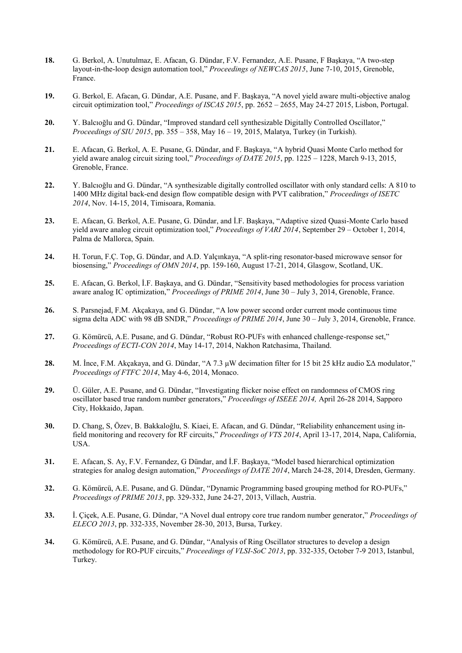- **18.** G. Berkol, A. Unutulmaz, E. Afacan, G. Dündar, F.V. Fernandez, A.E. Pusane, F Başkaya, "A two-step layout-in-the-loop design automation tool," *Proceedings of NEWCAS 2015*, June 7-10, 2015, Grenoble, France.
- **19.** G. Berkol, E. Afacan, G. Dündar, A.E. Pusane, and F. Başkaya, "A novel yield aware multi-objective analog circuit optimization tool," *Proceedings of ISCAS 2015*, pp. 2652 – 2655, May 24-27 2015, Lisbon, Portugal.
- **20.** Y. Balcıoğlu and G. Dündar, "Improved standard cell synthesizable Digitally Controlled Oscillator," *Proceedings of SIU 2015*, pp. 355 – 358, May 16 – 19, 2015, Malatya, Turkey (in Turkish).
- **21.** E. Afacan, G. Berkol, A. E. Pusane, G. Dündar, and F. Başkaya, "A hybrid Quasi Monte Carlo method for yield aware analog circuit sizing tool," *Proceedings of DATE 2015*, pp. 1225 – 1228, March 9-13, 2015, Grenoble, France.
- **22.** Y. Balcıoğlu and G. Dündar, "A synthesizable digitally controlled oscillator with only standard cells: A 810 to 1400 MHz digital back-end design flow compatible design with PVT calibration," *Proceedings of ISETC 2014*, Nov. 14-15, 2014, Timisoara, Romania.
- **23.** E. Afacan, G. Berkol, A.E. Pusane, G. Dündar, and İ.F. Başkaya, "Adaptive sized Quasi-Monte Carlo based yield aware analog circuit optimization tool," *Proceedings of VARI 2014*, September 29 – October 1, 2014, Palma de Mallorca, Spain.
- **24.** H. Torun, F.Ç. Top, G. Dündar, and A.D. Yalçınkaya, "A split-ring resonator-based microwave sensor for biosensing," *Proceedings of OMN 2014*, pp. 159-160, August 17-21, 2014, Glasgow, Scotland, UK.
- **25.** E. Afacan, G. Berkol, İ.F. Başkaya, and G. Dündar, "Sensitivity based methodologies for process variation aware analog IC optimization," *Proceedings of PRIME 2014*, June 30 – July 3, 2014, Grenoble, France.
- **26.** S. Parsnejad, F.M. Akçakaya, and G. Dündar, "A low power second order current mode continuous time sigma delta ADC with 98 dB SNDR," *Proceedings of PRIME 2014*, June 30 – July 3, 2014, Grenoble, France.
- **27.** G. Kömürcü, A.E. Pusane, and G. Dündar, "Robust RO-PUFs with enhanced challenge-response set," *Proceedings of ECTI-CON 2014*, May 14-17, 2014, Nakhon Ratchasima, Thailand.
- **28.** M. İnce, F.M. Akçakaya, and G. Dündar, "A 7.3 μW decimation filter for 15 bit 25 kHz audio ΣΔ modulator," *Proceedings of FTFC 2014*, May 4-6, 2014, Monaco.
- **29.** Ü. Güler, A.E. Pusane, and G. Dündar, "Investigating flicker noise effect on randomness of CMOS ring oscillator based true random number generators," *Proceedings of ISEEE 2014,* April 26-28 2014, Sapporo City, Hokkaido, Japan.
- **30.** D. Chang, S, Özev, B. Bakkaloğlu, S. Kiaei, E. Afacan, and G. Dündar, "Reliability enhancement using infield monitoring and recovery for RF circuits," *Proceedings of VTS 2014*, April 13-17, 2014, Napa, California, USA.
- **31.** E. Afacan, S. Ay, F.V. Fernandez, G Dündar, and İ.F. Başkaya, "Model based hierarchical optimization strategies for analog design automation," *Proceedings of DATE 2014*, March 24-28, 2014, Dresden, Germany.
- **32.** G. Kömürcü, A.E. Pusane, and G. Dündar, "Dynamic Programming based grouping method for RO-PUFs," *Proceedings of PRIME 2013*, pp. 329-332, June 24-27, 2013, Villach, Austria.
- **33.** İ. Çiçek, A.E. Pusane, G. Dündar, "A Novel dual entropy core true random number generator," *Proceedings of ELECO 2013*, pp. 332-335, November 28-30, 2013, Bursa, Turkey.
- **34.** G. Kömürcü, A.E. Pusane, and G. Dündar, "Analysis of Ring Oscillator structures to develop a design methodology for RO-PUF circuits," *Proceedings of VLSI-SoC 2013*, pp. 332-335, October 7-9 2013, Istanbul, Turkey.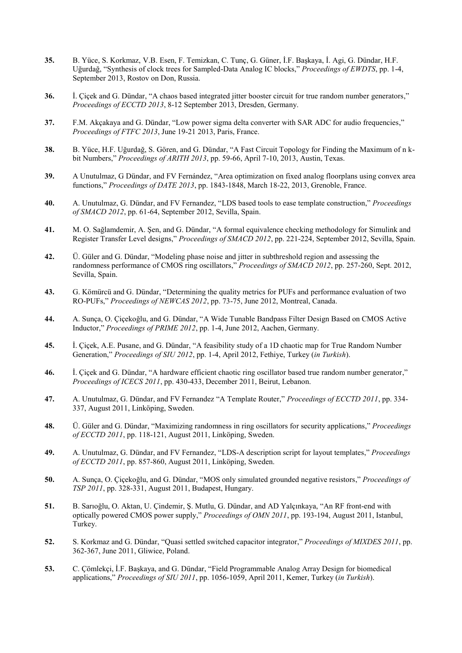- **35.** B. Yüce, S. Korkmaz, V.B. Esen, F. Temizkan, C. Tunç, G. Güner, İ.F. Başkaya, İ. Agi, G. Dündar, H.F. Uğurdağ, "Synthesis of clock trees for Sampled-Data Analog IC blocks," *Proceedings of EWDTS*, pp. 1-4, September 2013, Rostov on Don, Russia.
- **36.** İ. Çiçek and G. Dündar, "A chaos based integrated jitter booster circuit for true random number generators," *Proceedings of ECCTD 2013*, 8-12 September 2013, Dresden, Germany.
- **37.** F.M. Akçakaya and G. Dündar, "Low power sigma delta converter with SAR ADC for audio frequencies," *Proceedings of FTFC 2013*, June 19-21 2013, Paris, France.
- **38.** B. Yüce, H.F. Uğurdağ, S. Gören, and G. Dündar, "A Fast Circuit Topology for Finding the Maximum of n kbit Numbers," *Proceedings of ARITH 2013*, pp. 59-66, April 7-10, 2013, Austin, Texas.
- **39.** A Unutulmaz, G Dündar, and FV Fernández, "Area optimization on fixed analog floorplans using convex area functions," *Proceedings of DATE 2013*, pp. 1843-1848, March 18-22, 2013, Grenoble, France.
- **40.** A. Unutulmaz, G. Dündar, and FV Fernandez, "LDS based tools to ease template construction," *Proceedings of SMACD 2012*, pp. 61-64, September 2012, Sevilla, Spain.
- **41.** M. O. Sağlamdemir, A. Şen, and G. Dündar, "A formal equivalence checking methodology for Simulink and Register Transfer Level designs," *Proceedings of SMACD 2012*, pp. 221-224, September 2012, Sevilla, Spain.
- **42.** Ü. Güler and G. Dündar, "Modeling phase noise and jitter in subthreshold region and assessing the randomness performance of CMOS ring oscillators," *Proceedings of SMACD 2012*, pp. 257-260, Sept. 2012, Sevilla, Spain.
- **43.** G. Kömürcü and G. Dündar, "Determining the quality metrics for PUFs and performance evaluation of two RO-PUFs," *Proceedings of NEWCAS 2012*, pp. 73-75, June 2012, Montreal, Canada.
- **44.** A. Sunça, O. Çiçekoğlu, and G. Dündar, "A Wide Tunable Bandpass Filter Design Based on CMOS Active Inductor," *Proceedings of PRIME 2012*, pp. 1-4, June 2012, Aachen, Germany.
- **45.** İ. Çiçek, A.E. Pusane, and G. Dündar, "A feasibility study of a 1D chaotic map for True Random Number Generation," *Proceedings of SIU 2012*, pp. 1-4, April 2012, Fethiye, Turkey (*in Turkish*).
- **46.** İ. Çiçek and G. Dündar, "A hardware efficient chaotic ring oscillator based true random number generator," *Proceedings of ICECS 2011*, pp. 430-433, December 2011, Beirut, Lebanon.
- **47.** A. Unutulmaz, G. Dündar, and FV Fernandez "A Template Router," *Proceedings of ECCTD 2011*, pp. 334- 337, August 2011, Linköping, Sweden.
- **48.** Ü. Güler and G. Dündar, "Maximizing randomness in ring oscillators for security applications," *Proceedings of ECCTD 2011*, pp. 118-121, August 2011, Linköping, Sweden.
- **49.** A. Unutulmaz, G. Dündar, and FV Fernandez, "LDS-A description script for layout templates," *Proceedings of ECCTD 2011*, pp. 857-860, August 2011, Linköping, Sweden.
- **50.** A. Sunça, O. Çiçekoğlu, and G. Dündar, "MOS only simulated grounded negative resistors," *Proceedings of TSP 2011*, pp. 328-331, August 2011, Budapest, Hungary.
- **51.** B. Sarıoğlu, O. Aktan, U. Çindemir, Ş. Mutlu, G. Dündar, and AD Yalçınkaya, "An RF front-end with optically powered CMOS power supply," *Proceedings of OMN 2011*, pp. 193-194, August 2011, Istanbul, Turkey.
- **52.** S. Korkmaz and G. Dündar, "Quasi settled switched capacitor integrator," *Proceedings of MIXDES 2011*, pp. 362-367, June 2011, Gliwice, Poland.
- **53.** C. Çömlekçi, İ.F. Başkaya, and G. Dündar, "Field Programmable Analog Array Design for biomedical applications," *Proceedings of SIU 2011*, pp. 1056-1059, April 2011, Kemer, Turkey (*in Turkish*).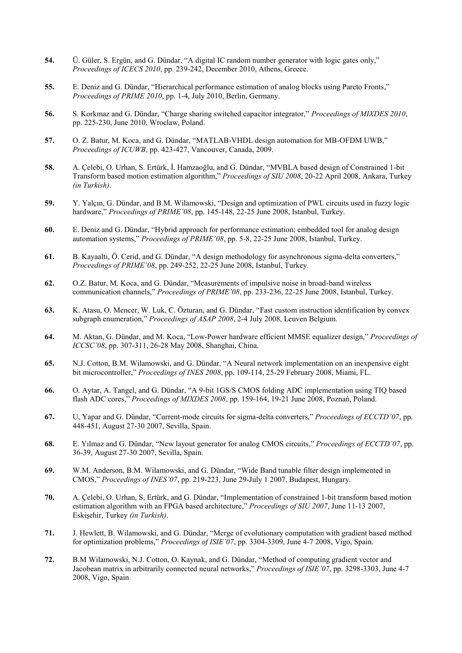- **54.** Ü. Güler, S. Ergün, and G. Dündar, "A digital IC random number generator with logic gates only," *Proceedings of ICECS 2010*, pp. 239-242, December 2010, Athens, Greece.
- **55.** E. Deniz and G. Dündar, "Hierarchical performance estimation of analog blocks using Pareto Fronts," *Proceedings of PRIME 2010*, pp. 1-4, July 2010, Berlin, Germany.
- **56.** S. Korkmaz and G. Dündar, "Charge sharing switched capacitor integrator," *Proceedings of MIXDES 2010*, pp. 225-230, June 2010, Wroclaw, Poland.
- **57.** O. Z. Batur, M. Koca, and G. Dündar, "MATLAB-VHDL design automation for MB-OFDM UWB," *Proceedings of ICUWB*, pp. 423-427, Vancouver, Canada, 2009.
- **58.** A. Çelebi, O. Urhan, S. Ertürk, İ. Hamzaoğlu, and G. Dündar, "MVBLA based design of Constrained 1-bit Transform based motion estimation algorithm," *Proceedings of SIU 2008*, 20-22 April 2008, Ankara, Turkey *(in Turkish)*.
- **59.** Y. Yalçın, G. Dündar, and B.M. Wilamowski, "Design and optimization of PWL circuits used in fuzzy logic hardware," *Proceedings of PRIME'08*, pp. 145-148, 22-25 June 2008, Istanbul, Turkey.
- **60.** E. Deniz and G. Dündar, "Hybrid approach for performance estimation; embedded tool for analog design automation systems," *Proceedings of PRIME'08*, pp. 5-8, 22-25 June 2008, Istanbul, Turkey.
- **61.** B. Kayaaltı, Ö. Cerid, and G. Dündar, "A design methodology for asynchronous sigma-delta converters," *Proceedings of PRIME'08*, pp. 249-252, 22-25 June 2008, Istanbul, Turkey.
- **62.** O.Z. Batur, M. Koca, and G. Dündar, "Measurements of impulsive noise in broad-band wireless communication channels," *Proceedings of PRIME'08*, pp. 233-236, 22-25 June 2008, Istanbul, Turkey.
- **63.** K. Atasu, O. Mencer, W. Luk, C. Özturan, and G. Dündar, "Fast custom instruction identification by convex subgraph enumeration," *Proceedings of ASAP 2008*, 2-4 July 2008, Leuven Belgium.
- **64.** M. Aktan, G. Dündar, and M. Koca, "Low-Power hardware efficient MMSE equalizer design," *Proceedings of ICCSC'08*, pp. 307-311, 26-28 May 2008, Shanghai, China.
- **65.** N.J. Cotton, B.M. Wilamowski, and G. Dündar, "A Neural network implementation on an inexpensive eight bit microcontroller," *Proceedings of INES 2008*, pp. 109-114, 25-29 February 2008, Miami, FL.
- **66.** O. Aytar, A. Tangel, and G. Dündar, "A 9-bit 1GS/S CMOS folding ADC implementation using TIQ based flash ADC cores," *Proceedings of MIXDES 2008*, pp. 159-164, 19-21 June 2008, Poznań, Poland.
- **67.** U, Yapar and G. Dündar, "Current-mode circuits for sigma-delta converters," *Proceedings of ECCTD'07*, pp. 448-451, August 27-30 2007, Sevilla, Spain.
- **68.** E. Yılmaz and G. Dündar, "New layout generator for analog CMOS circuits," *Proceedings of ECCTD'07*, pp. 36-39, August 27-30 2007, Sevilla, Spain.
- **69.** W.M. Anderson, B.M. Wilamowski, and G. Dündar, "Wide Band tunable filter design implemented in CMOS," *Proceedings of INES'07*, pp. 219-223, June 29-July 1 2007, Budapest, Hungary.
- **70.** A. Çelebi, O. Urhan, S, Ertürk, and G. Dündar, "Implementation of constrained 1-bit transform based motion estimation algorithm with an FPGA based architecture," *Proceedings of SIU 2007*, June 11-13 2007, Eskişehir, Turkey *(in Turkish)*.
- **71.** J. Hewlett, B. Wilamowski, and G. Dündar, "Merge of evolutionary computation with gradient based method for optimization problems," *Proceedings of ISIE'07*, pp. 3304-3309, June 4-7 2008, Vigo, Spain.
- **72.** B.M Wilamowski, N.J. Cotton, O. Kaynak, and G. Dündar, "Method of computing gradient vector and Jacobean matrix in arbitrarily connected neural networks," *Proceedings of ISIE'07*, pp. 3298-3303, June 4-7 2008, Vigo, Spain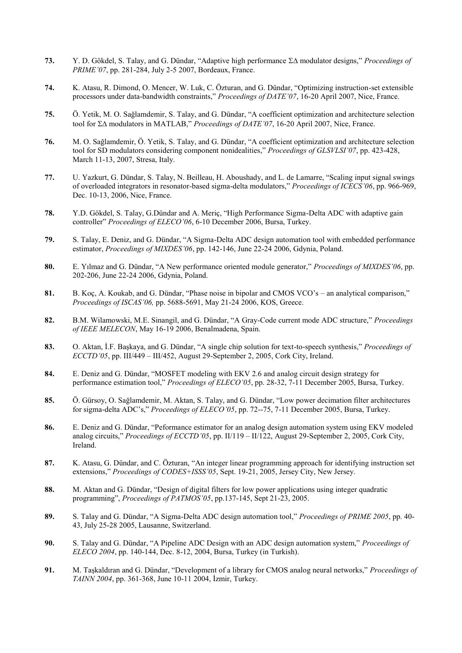- **73.** Y. D. Gökdel, S. Talay, and G. Dündar, "Adaptive high performance  $\Sigma\Delta$  modulator designs," *Proceedings of PRIME'07*, pp. 281-284, July 2-5 2007, Bordeaux, France.
- **74.** K. Atasu, R. Dimond, O. Mencer, W. Luk, C. Özturan, and G. Dündar, "Optimizing instruction-set extensible processors under data-bandwidth constraints," *Proceedings of DATE'07*, 16-20 April 2007, Nice, France.
- **75.** Ö. Yetik, M. O. Sağlamdemir, S. Talay, and G. Dündar, "A coefficient optimization and architecture selection tool for ΣΔ modulators in MATLAB," *Proceedings of DATE'07*, 16-20 April 2007, Nice, France.
- **76.** M. O. Sağlamdemir, Ö. Yetik, S. Talay, and G. Dündar, "A coefficient optimization and architecture selection tool for SD modulators considering component nonidealities," *Proceedings of GLSVLSI'07*, pp. 423-428, March 11-13, 2007, Stresa, Italy.
- **77.** U. Yazkurt, G. Dündar, S. Talay, N. Beilleau, H. Aboushady, and L. de Lamarre, "Scaling input signal swings of overloaded integrators in resonator-based sigma-delta modulators," *Proceedings of ICECS'06*, pp. 966-969, Dec. 10-13, 2006, Nice, France.
- **78.** Y.D. Gökdel, S. Talay, G.Dündar and A. Meriç, "High Performance Sigma-Delta ADC with adaptive gain controller" *Proceedings of ELECO'06*, 6-10 December 2006, Bursa, Turkey.
- **79.** S. Talay, E. Deniz, and G. Dündar, "A Sigma-Delta ADC design automation tool with embedded performance estimator, *Proceedings of MIXDES'06*, pp. 142-146, June 22-24 2006, Gdynia, Poland.
- **80.** E. Yılmaz and G. Dündar, "A New performance oriented module generator," *Proceedings of MIXDES'06*, pp. 202-206, June 22-24 2006, Gdynia, Poland.
- **81.** B. Koç, A. Koukab, and G. Dündar, "Phase noise in bipolar and CMOS VCO's an analytical comparison," *Proceedings of ISCAS'06,* pp. 5688-5691, May 21-24 2006, KOS, Greece.
- **82.** B.M. Wilamowski, M.E. Sinangil, and G. Dündar, "A Gray-Code current mode ADC structure," *Proceedings of IEEE MELECON*, May 16-19 2006, Benalmadena, Spain.
- **83.** O. Aktan, İ.F. Başkaya, and G. Dündar, "A single chip solution for text-to-speech synthesis," *Proceedings of ECCTD'05*, pp. III/449 – III/452, August 29-September 2, 2005, Cork City, Ireland.
- **84.** E. Deniz and G. Dündar, "MOSFET modeling with EKV 2.6 and analog circuit design strategy for performance estimation tool," *Proceedings of ELECO'05*, pp. 28-32, 7-11 December 2005, Bursa, Turkey.
- **85.** Ö. Gürsoy, O. Sağlamdemir, M. Aktan, S. Talay, and G. Dündar, "Low power decimation filter architectures for sigma-delta ADC's," *Proceedings of ELECO'05*, pp. 72--75, 7-11 December 2005, Bursa, Turkey.
- **86.** E. Deniz and G. Dündar, "Peformance estimator for an analog design automation system using EKV modeled analog circuits," *Proceedings of ECCTD'05*, pp. II/119 – II/122, August 29-September 2, 2005, Cork City, Ireland.
- **87.** K. Atasu, G. Dündar, and C. Özturan, "An integer linear programming approach for identifying instruction set extensions," *Proceedings of CODES+ISSS'05*, Sept. 19-21, 2005, Jersey City, New Jersey.
- **88.** M. Aktan and G. Dündar, "Design of digital filters for low power applications using integer quadratic programming", *Proceedings of PATMOS'05*, pp.137-145, Sept 21-23, 2005.
- **89.** S. Talay and G. Dündar, "A Sigma-Delta ADC design automation tool," *Proceedings of PRIME 2005*, pp. 40- 43, July 25-28 2005, Lausanne, Switzerland.
- **90.** S. Talay and G. Dündar, "A Pipeline ADC Design with an ADC design automation system," *Proceedings of ELECO 2004*, pp. 140-144, Dec. 8-12, 2004, Bursa, Turkey (in Turkish).
- **91.** M. Taşkaldıran and G. Dündar, "Development of a library for CMOS analog neural networks," *Proceedings of TAINN 2004*, pp. 361-368, June 10-11 2004, İzmir, Turkey.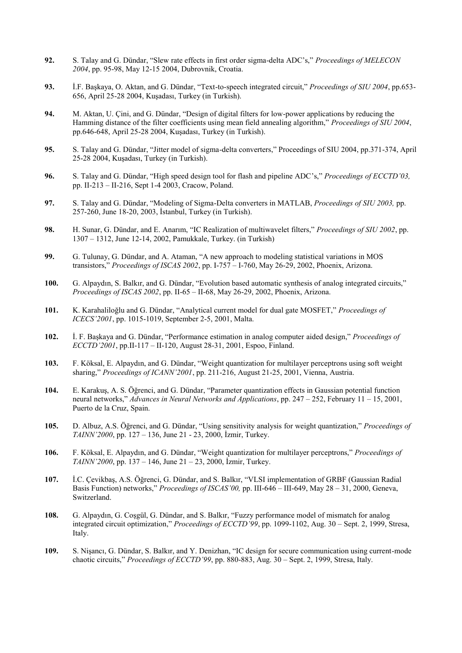- **92.** S. Talay and G. Dündar, "Slew rate effects in first order sigma-delta ADC's," *Proceedings of MELECON 2004*, pp. 95-98, May 12-15 2004, Dubrovnik, Croatia.
- **93.** İ.F. Başkaya, O. Aktan, and G. Dündar, "Text-to-speech integrated circuit," *Proceedings of SIU 2004*, pp.653- 656, April 25-28 2004, Kuşadası, Turkey (in Turkish).
- **94.** M. Aktan, U. Çini, and G. Dündar, "Design of digital filters for low-power applications by reducing the Hamming distance of the filter coefficients using mean field annealing algorithm," *Proceedings of SIU 2004*, pp.646-648, April 25-28 2004, Kuşadası, Turkey (in Turkish).
- **95.** S. Talay and G. Dündar, "Jitter model of sigma-delta converters," Proceedings of SIU 2004, pp.371-374, April 25-28 2004, Kuşadası, Turkey (in Turkish).
- **96.** S. Talay and G. Dündar, "High speed design tool for flash and pipeline ADC's," *Proceedings of ECCTD'03,*  pp. II-213 – II-216, Sept 1-4 2003, Cracow, Poland.
- **97.** S. Talay and G. Dündar, "Modeling of Sigma-Delta converters in MATLAB, *Proceedings of SIU 2003,* pp. 257-260, June 18-20, 2003, İstanbul, Turkey (in Turkish).
- **98.** H. Sunar, G. Dündar, and E. Anarım, "IC Realization of multiwavelet filters," *Proceedings of SIU 2002*, pp. 1307 – 1312, June 12-14, 2002, Pamukkale, Turkey. (in Turkish)
- **99.** G. Tulunay, G. Dündar, and A. Ataman, "A new approach to modeling statistical variations in MOS transistors," *Proceedings of ISCAS 2002*, pp. I-757 – I-760, May 26-29, 2002, Phoenix, Arizona.
- **100.** G. Alpaydın, S. Balkır, and G. Dündar, "Evolution based automatic synthesis of analog integrated circuits," *Proceedings of ISCAS 2002*, pp. II-65 – II-68, May 26-29, 2002, Phoenix, Arizona.
- **101.** K. Karahaliloğlu and G. Dündar, "Analytical current model for dual gate MOSFET," *Proceedings of ICECS'2001*, pp. 1015-1019, September 2-5, 2001, Malta.
- **102.** İ. F. Başkaya and G. Dündar, "Performance estimation in analog computer aided design," *Proceedings of ECCTD'2001*, pp.II-117 – II-120, August 28-31, 2001, Espoo, Finland.
- **103.** F. Köksal, E. Alpaydın, and G. Dündar, "Weight quantization for multilayer perceptrons using soft weight sharing," *Proceedings of ICANN'2001*, pp. 211-216, August 21-25, 2001, Vienna, Austria.
- **104.** E. Karakuş, A. S. Öğrenci, and G. Dündar, "Parameter quantization effects in Gaussian potential function neural networks," *Advances in Neural Networks and Applications*, pp. 247 – 252, February 11 – 15, 2001, Puerto de la Cruz, Spain.
- **105.** D. Albuz, A.S. Öğrenci, and G. Dündar, "Using sensitivity analysis for weight quantization," *Proceedings of TAINN'2000*, pp. 127 – 136, June 21 - 23, 2000, İzmir, Turkey.
- **106.** F. Köksal, E. Alpaydın, and G. Dündar, "Weight quantization for multilayer perceptrons," *Proceedings of TAINN'2000*, pp. 137 – 146, June 21 – 23, 2000, İzmir, Turkey.
- **107.** İ.C. Çevikbaş, A.S. Öğrenci, G. Dündar, and S. Balkır, "VLSI implementation of GRBF (Gaussian Radial Basis Function) networks," *Proceedings of ISCAS'00,* pp. III-646 – III-649, May 28 – 31, 2000, Geneva, Switzerland.
- **108.** G. Alpaydın, G. Coşgül, G. Dündar, and S. Balkır, "Fuzzy performance model of mismatch for analog integrated circuit optimization," *Proceedings of ECCTD'99*, pp. 1099-1102, Aug. 30 – Sept. 2, 1999, Stresa, Italy.
- **109.** S. Nişancı, G. Dündar, S. Balkır, and Y. Denizhan, "IC design for secure communication using current-mode chaotic circuits," *Proceedings of ECCTD'99*, pp. 880-883, Aug. 30 – Sept. 2, 1999, Stresa, Italy.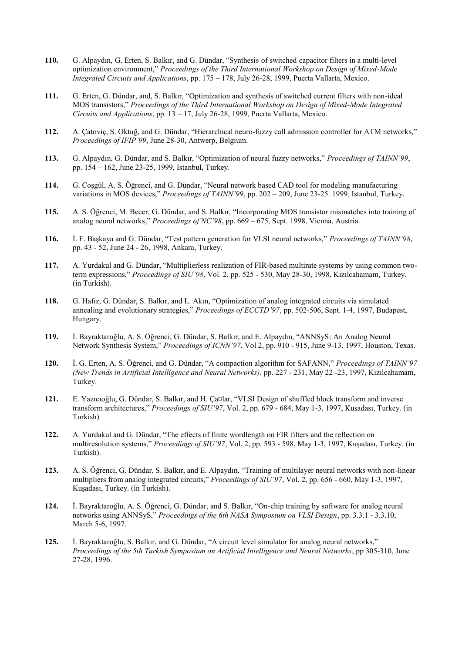- **110.** G. Alpaydın, G. Erten, S. Balkır, and G. Dündar, "Synthesis of switched capacitor filters in a multi-level optimization environment," *Proceedings of the Third International Workshop on Design of Mixed-Mode Integrated Circuits and Applications*, pp. 175 – 178, July 26-28, 1999, Puerta Vallarta, Mexico.
- **111.** G. Erten, G. Dündar, and, S. Balkır, "Optimization and synthesis of switched current filters with non-ideal MOS transistors," *Proceedings of the Third International Workshop on Design of Mixed-Mode Integrated Circuits and Applications*, pp. 13 – 17, July 26-28, 1999, Puerta Vallarta, Mexico.
- **112.** A. Çatoviç, S. Oktuğ, and G. Dündar, "Hierarchical neuro-fuzzy call admission controller for ATM networks," *Proceedings of IFIP'99*, June 28-30, Antwerp, Belgium.
- **113.** G. Alpaydın, G. Dündar, and S. Balkır, "Optimization of neural fuzzy networks," *Proceedings of TAINN'99*, pp. 154 – 162, June 23-25, 1999, Istanbul, Turkey.
- **114.** G. Coşgül, A. S. Öğrenci, and G. Dündar, "Neural network based CAD tool for modeling manufacturing variations in MOS devices," *Proceedings of TAINN'99*, pp. 202 – 209, June 23-25. 1999, Istanbul, Turkey.
- **115.** A. S. Öğrenci, M. Becer, G. Dündar, and S. Balkır, "Incorporating MOS transistor mismatches into training of analog neural networks," *Proceedings of NC'98*, pp. 669 – 675, Sept. 1998, Vienna, Austria.
- **116.** İ. F. Başkaya and G. Dündar, "Test pattern generation for VLSI neural networks," *Proceedings of TAINN'98*, pp. 43 - 52, June 24 - 26, 1998, Ankara, Turkey.
- **117.** A. Yurdakul and G. Dündar, "Multiplierless realization of FIR-based multirate systems by using common twoterm expressions," *Proceedings of SIU'98*, Vol. 2, pp. 525 - 530, May 28-30, 1998, Kızılcahamam, Turkey. (in Turkish).
- **118.** G. Hafız, G. Dündar, S. Balkır, and L. Akın, "Optimization of analog integrated circuits via simulated annealing and evolutionary strategies," *Proceedings of ECCTD'97*, pp. 502-506, Sept. 1-4, 1997, Budapest, Hungary.
- **119.** İ. Bayraktaroğlu, A. S. Öğrenci, G. Dündar, S. Balkır, and E. Alpaydın, "ANNSyS: An Analog Neural Network Synthesis System," *Proceedings of ICNN'97*, Vol 2, pp. 910 - 915, June 9-13, 1997, Houston, Texas.
- **120.** İ. G. Erten, A. S. Öğrenci, and G. Dündar, "A compaction algorithm for SAFANN," *Proceedings of TAINN'97 (New Trends in Artificial Intelligence and Neural Networks)*, pp. 227 - 231, May 22 -23, 1997, Kızılcahamam, Turkey.
- **121.** E. Yazıcıoğlu, G. Dündar, S. Balkır, and H. Ça¤lar, "VLSI Design of shuffled block transform and inverse transform architectures," *Proceedings of SIU'97*, Vol. 2, pp. 679 - 684, May 1-3, 1997, Kuşadası, Turkey. (in Turkish)
- **122.** A. Yurdakul and G. Dündar, "The effects of finite wordlength on FIR filters and the reflection on multiresolution systems," *Proceedings of SIU'97*, Vol. 2, pp. 593 - 598, May 1-3, 1997, Kuşadası, Turkey. (in Turkish).
- **123.** A. S. Öğrenci, G. Dündar, S. Balkır, and E. Alpaydın, "Training of multilayer neural networks with non-linear multipliers from analog integrated circuits," *Proceedings of SIU'97*, Vol. 2, pp. 656 - 660, May 1-3, 1997, Kuşadası, Turkey. (in Turkish).
- **124.** İ. Bayraktaroğlu, A. S. Öğrenci, G. Dündar, and S. Balkır, "On-chip training by software for analog neural networks using ANNSyS," *Proceedings of the 6th NASA Symposium on VLSI Design*, pp. 3.3.1 - 3.3.10, March 5-6, 1997.
- **125.** İ. Bayraktaroğlu, S. Balkır, and G. Dündar, "A circuit level simulator for analog neural networks," *Proceedings of the 5th Turkish Symposium on Artificial Intelligence and Neural Networks*, pp 305-310, June 27-28, 1996.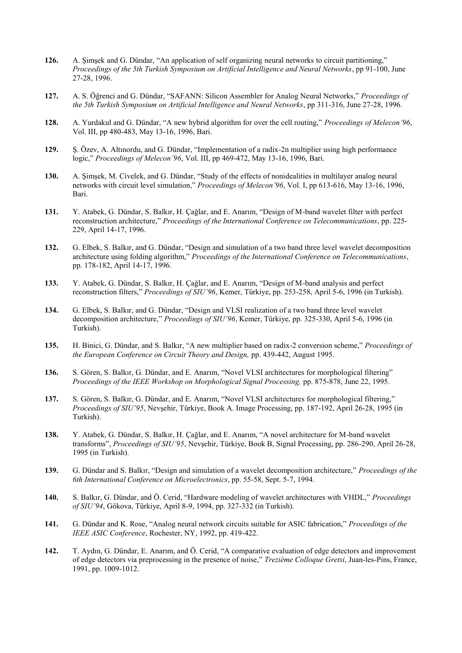- **126.** A. Şimşek and G. Dündar, "An application of self organizing neural networks to circuit partitioning," *Proceedings of the 5th Turkish Symposium on Artificial Intelligence and Neural Networks*, pp 91-100, June 27-28, 1996.
- **127.** A. S. Öğrenci and G. Dündar, "SAFANN: Silicon Assembler for Analog Neural Networks," *Proceedings of the 5th Turkish Symposium on Artificial Intelligence and Neural Networks*, pp 311-316, June 27-28, 1996.
- **128.** A. Yurdakul and G. Dündar, "A new hybrid algorithm for over the cell routing," *Proceedings of Melecon'96*, Vol. III, pp 480-483, May 13-16, 1996, Bari.
- **129.** Ş. Özev, A. Altınordu, and G. Dündar, "Implementation of a radix-2n multiplier using high performance logic," *Proceedings of Melecon'96*, Vol. III, pp 469-472, May 13-16, 1996, Bari.
- **130.** A. Şimşek, M. Civelek, and G. Dündar, "Study of the effects of nonidealities in multilayer analog neural networks with circuit level simulation," *Proceedings of Melecon'96*, Vol. I, pp 613-616, May 13-16, 1996, Bari.
- **131.** Y. Atabek, G. Dündar, S. Balkır, H. Çağlar, and E. Anarım, "Design of M-band wavelet filter with perfect reconstruction architecture," *Proceedings of the International Conference on Telecommunications*, pp. 225- 229, April 14-17, 1996.
- **132.** G. Elbek, S. Balkır, and G. Dündar, "Design and simulation of a two band three level wavelet decomposition architecture using folding algorithm," *Proceedings of the International Conference on Telecommunications*, pp. 178-182, April 14-17, 1996.
- **133.** Y. Atabek, G. Dündar, S. Balkır, H. Çağlar, and E. Anarım, "Design of M-band analysis and perfect reconstruction filters," *Proceedings of SIU'96*, Kemer, Türkiye, pp. 253-258, April 5-6, 1996 (in Turkish).
- **134.** G. Elbek, S. Balkır, and G. Dündar, "Design and VLSI realization of a two band three level wavelet decomposition architecture," *Proceedings of SIU'96*, Kemer, Türkiye, pp. 325-330, April 5-6, 1996 (in Turkish).
- **135.** H. Binici, G. Dündar, and S. Balkır, "A new multiplier based on radix-2 conversion scheme," *Proceedings of the European Conference on Circuit Theory and Design,* pp. 439-442, August 1995.
- **136.** S. Gören, S. Balkır, G. Dündar, and E. Anarım, "Novel VLSI architectures for morphological filtering" *Proceedings of the IEEE Workshop on Morphological Signal Processing,* pp. 875-878, June 22, 1995.
- **137.** S. Gören, S. Balkır, G. Dündar, and E. Anarım, "Novel VLSI architectures for morphological filtering," *Proceedings of SIU'95*, Nevşehir, Türkiye, Book A. Image Processing, pp. 187-192, April 26-28, 1995 (in Turkish).
- **138.** Y. Atabek, G. Dündar, S. Balkır, H. Çağlar, and E. Anarım, "A novel architecture for M-band wavelet transforms", *Proceedings of SIU'95*, Nevşehir, Türkiye, Book B, Signal Processing, pp. 286-290, April 26-28, 1995 (in Turkish).
- **139.** G. Dündar and S. Balkır, "Design and simulation of a wavelet decomposition architecture," *Proceedings of the 6th International Conference on Microelectronics*, pp. 55-58, Sept. 5-7, 1994.
- **140.** S. Balkır, G. Dündar, and Ö. Cerid, "Hardware modeling of wavelet architectures with VHDL," *Proceedings of SIU'94*, Gökova, Türkiye, April 8-9, 1994, pp. 327-332 (in Turkish).
- **141.** G. Dündar and K. Rose, "Analog neural network circuits suitable for ASIC fabrication," *Proceedings of the IEEE ASIC Conference*, Rochester, NY, 1992, pp. 419-422.
- **142.** T. Aydın, G. Dündar, E. Anarım, and Ö. Cerid, "A comparative evaluation of edge detectors and improvement of edge detectors via preprocessing in the presence of noise," *Trezième Colloque Gretsi*, Juan-les-Pins, France, 1991, pp. 1009-1012.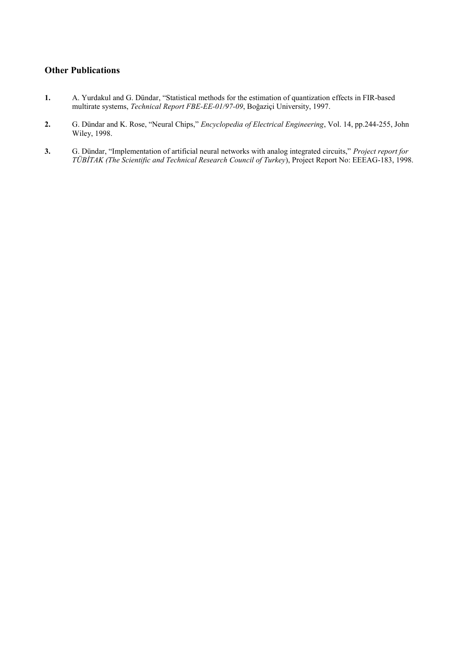### **Other Publications**

- **1.** A. Yurdakul and G. Dündar, "Statistical methods for the estimation of quantization effects in FIR-based multirate systems, *Technical Report FBE-EE-01/97-09*, Boğaziçi University, 1997.
- **2.** G. Dündar and K. Rose, "Neural Chips," *Encyclopedia of Electrical Engineering*, Vol. 14, pp.244-255, John Wiley, 1998.
- **3.** G. Dündar, "Implementation of artificial neural networks with analog integrated circuits," *Project report for TÜBİTAK (The Scientific and Technical Research Council of Turkey*), Project Report No: EEEAG-183, 1998.